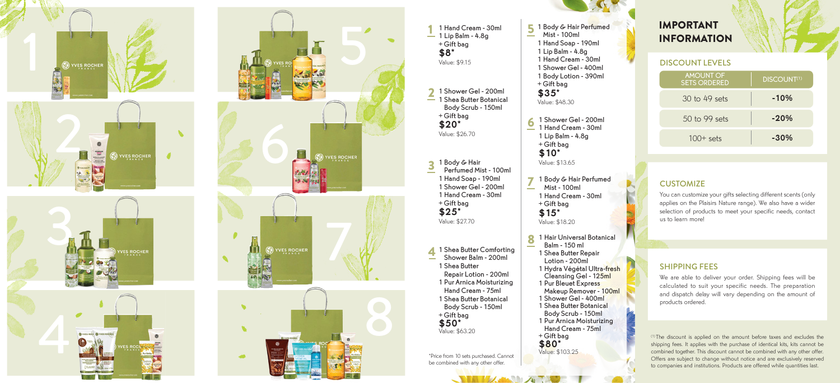



1 1 Hand Cream - 30ml  $-1$  Lip Balm - 4.8g + Gift bag \$8\* Value: \$9.15 1 Shower Gel - 200ml 2 1 Shower Gel - 200ml<br>— 1 Shea Butter Botanical Body Scrub - 150ml + Gift bag \$20\* Value: \$26.70 1 Body & Hair Perfumed Mist - 100ml 1 Hand Soap - 190ml 1 Shower Gel - 200ml 1 Hand Cream - 30ml + Gift bag \$25\* Value: \$27.70 3 1 Shea Butter Comforting<br>
5 Shower Balm - 200ml Shower Balm - 200ml 1 Shea Butter Repair Lotion - 200ml 1 Pur Arnica Moisturizing Hand Cream - 75ml 1 Shea Butter Botanical Body Scrub - 150ml + Gift bag \$50\* Value: \$63.20 6 7 8 1 Hair Universal Botanical<br>Balm - 150 ml \*Price from 10 sets purchased. Cannot

be combined with any other offer.

**START AND ARRANGEMENT OF THE START OF THE START OF THE START OF THE START OF THE START OF THE START OF THE START** 



#### 5 1 Body & Hair Pe<mark>rfumed</mark><br>Mist - 100ml Mist - 100ml 1 Hand Soap - 190ml 1 Lip Balm - 4.8g 1 Hand Cream - 30ml 1 Shower Gel - 400ml 1 Body Lotion - 390ml + Gift bag \$35\* Value: \$48.30 1 Shower Gel - 200ml 1 Hand Cream - 30ml

1 Lip Balm - 4.8g + Gift bag \$10\* Value: \$13.65

+ Gift bag \$15\* Value: \$18.20

+ Gift bag \$80\* Value: \$103.25

Balm - 150 ml 1 Shea Butter Repair Lotion - 200ml 1 Hydra Végétal Ultra-fresh Cleansing Gel - 125ml 1 Pur Bleuet Express

Makeup Remover - 100ml 1 Shower Gel - 400ml 1 Shea Butter Botanical Body Scrub - 150ml 1 Pur Arnica Moisturizing Hand Cream - 75ml

1 Body & Hair Perfumed Mist - 100ml 1 Hand Cream - 30ml

DISCOUNT LEVELS AMOUNT OF SETS ORDERED **DISCOUNT<sup>(1)</sup>** -10% -20% -30% 30 to 49 sets 50 to 99 sets 100+ sets

## **CUSTOMIZE**

IMPORTANT INFORMATION

You can customize your gifts selecting different scents (only applies on the Plaisirs Nature range). We also have a wider selection of products to meet your specific needs, contact us to learn more!

## SHIPPING FEES

We are able to deliver your order. Shipping fees will be calculated to suit your specific needs. The preparation and dispatch delay will vary depending on the amount of products ordered.

(1) The discount is applied on the amount before taxes and excludes the shipping fees. It applies with the purchase of identical kits, kits cannot be combined together. This discount cannot be combined with any other offer. Offers are subject to change without notice and are exclusively reserved to companies and institutions. Products are offered while quantities last.